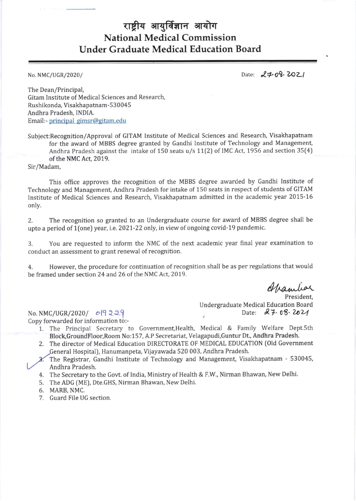## राष्ट्रीय आयुर्विज्ञान आयोग National Medical Commission Under Graduate Medical Education Board

No. NMC/UGR/2020/ Date:  $24.08.2021$ 

The Dean/Principal, Gitam Institute of Medical Sciences and Research, Rushikonda, Visakhapatnam-530045 Andhra Pradesh, INDIA. Email:- principal gimsr@gitam.edu

Subiect:Recognition/Approval of GITAM lnstitute of Medical Sciences and Research, Visakhapatnam for the award of MBBS degree granted by Gandhi Institute of Technology and Management Andhra Pradesh against the intake of 150 seats u/s 11[2) of IMC Act, 1956 and section 35(4) of the NMC Act, 2019.

Sir/Madam,

This office approves the recognition of the MBBS degree awarded by Gandhi Institute of Technology and Management, Andhra Pradesh for intake of 150 seats in respect of students of GITAM Institute of Medical Sciences and Research, Visakhapatnam admitted in the academic year 2015-16 only.

2. The recognition so granted to an Undergraduate course for award of MBBS degree shall be upto a period of 1(one) year, i.e. 2021-22 only, in view of ongoing covid-19 pandemic.

3. You are requested to inform the NMC of the next academic year final year examination to conduct an assessment to grant renewal of recognition.

4. However, the procedure for continuation of recognition shall be as per regulations that would be framed under section 24 and 26 of the NMC Act, 2019.

Spanier

President, Undergraduate Medical Education Board<br>Date:  $87.08.202$ 

 $No. NMC/UGR/2020/ 019229$ Copy forwarded for information to:-

- 1. The Principal Secretary to Government, Health, Medical & Family Welfare Dept.5th Block,GroundFloor,Room No:157, A.P Secretariat, Velagapudi,Guntur Dt, Andhra Pradesh.
- 2. The director of Medical Education DIRECTORATE OF MEDICAL EDUCATION (Old Government General Hospital), Hanumanpeta, Vijayawada 520 003, Andhra Pradesh.
- An dhra Pradesh. The Registrar, Gandhi Institute of Technology and Management, Visakhapatnam - 530045
- 4. The Secretary to the Govt. of India, Ministry of Health & F.W., Nirman Bhawan, New Delhi.
- 5. The ADG [ME), Dte.GHS, Nirman Bhawan, New Delhi.
- 6. MARB, NMC.
- 7. Guard File UG section.